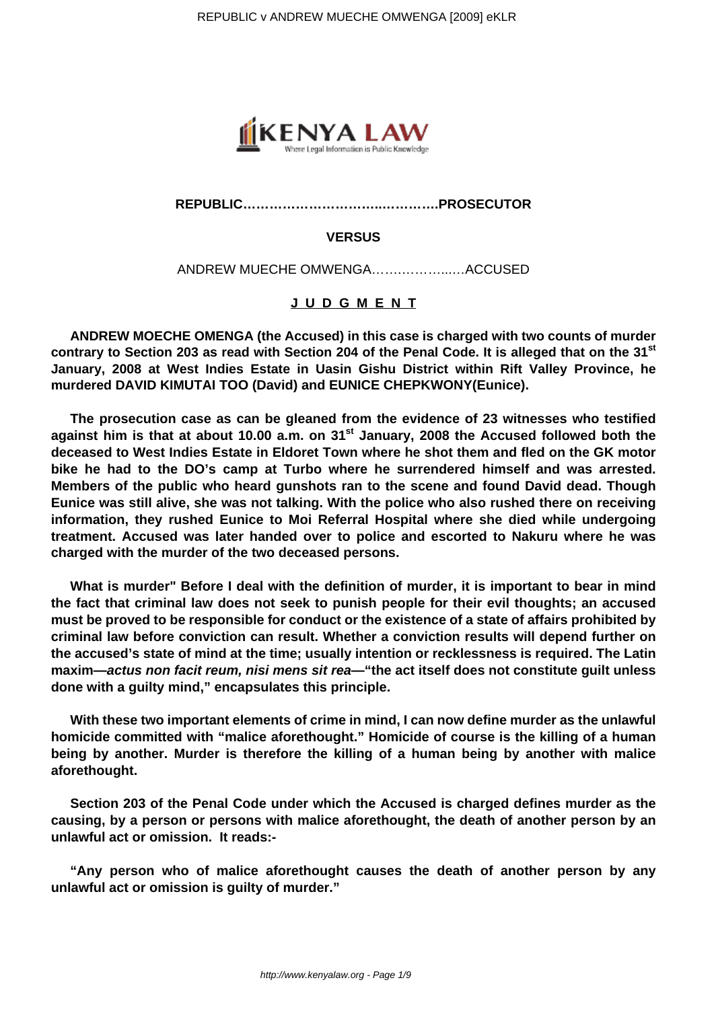

## **REPUBLIC…………………………..………….PROSECUTOR**

## **VERSUS**

ANDREW MUECHE OMWENGA…….………...…ACCUSED

## **J U D G M E N T**

**ANDREW MOECHE OMENGA (the Accused) in this case is charged with two counts of murder contrary to Section 203 as read with Section 204 of the Penal Code. It is alleged that on the 31st January, 2008 at West Indies Estate in Uasin Gishu District within Rift Valley Province, he murdered DAVID KIMUTAI TOO (David) and EUNICE CHEPKWONY(Eunice).**

**The prosecution case as can be gleaned from the evidence of 23 witnesses who testified against him is that at about 10.00 a.m. on 31st January, 2008 the Accused followed both the deceased to West Indies Estate in Eldoret Town where he shot them and fled on the GK motor bike he had to the DO's camp at Turbo where he surrendered himself and was arrested. Members of the public who heard gunshots ran to the scene and found David dead. Though Eunice was still alive, she was not talking. With the police who also rushed there on receiving information, they rushed Eunice to Moi Referral Hospital where she died while undergoing treatment. Accused was later handed over to police and escorted to Nakuru where he was charged with the murder of the two deceased persons.**

**What is murder" Before I deal with the definition of murder, it is important to bear in mind the fact that criminal law does not seek to punish people for their evil thoughts; an accused must be proved to be responsible for conduct or the existence of a state of affairs prohibited by criminal law before conviction can result. Whether a conviction results will depend further on the accused's state of mind at the time; usually intention or recklessness is required. The Latin maxim—actus non facit reum, nisi mens sit rea—"the act itself does not constitute guilt unless done with a guilty mind," encapsulates this principle.** 

**With these two important elements of crime in mind, I can now define murder as the unlawful homicide committed with "malice aforethought." Homicide of course is the killing of a human being by another. Murder is therefore the killing of a human being by another with malice aforethought.** 

**Section 203 of the Penal Code under which the Accused is charged defines murder as the causing, by a person or persons with malice aforethought, the death of another person by an unlawful act or omission. It reads:-**

**"Any person who of malice aforethought causes the death of another person by any unlawful act or omission is guilty of murder."**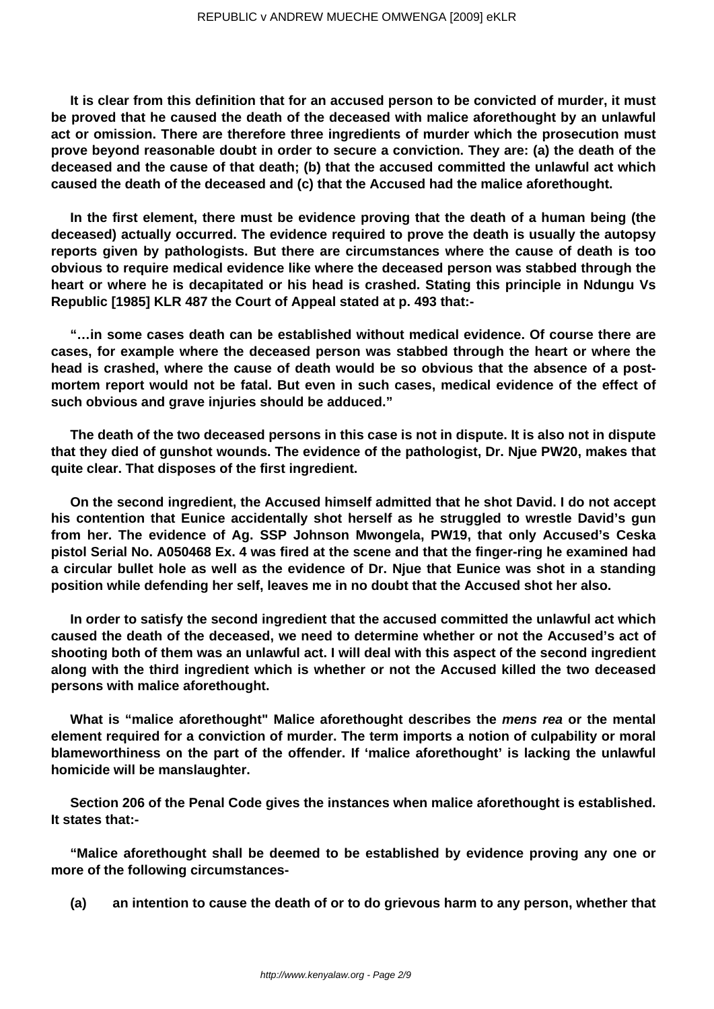**It is clear from this definition that for an accused person to be convicted of murder, it must be proved that he caused the death of the deceased with malice aforethought by an unlawful act or omission. There are therefore three ingredients of murder which the prosecution must prove beyond reasonable doubt in order to secure a conviction. They are: (a) the death of the deceased and the cause of that death; (b) that the accused committed the unlawful act which caused the death of the deceased and (c) that the Accused had the malice aforethought.**

**In the first element, there must be evidence proving that the death of a human being (the deceased) actually occurred. The evidence required to prove the death is usually the autopsy reports given by pathologists. But there are circumstances where the cause of death is too obvious to require medical evidence like where the deceased person was stabbed through the heart or where he is decapitated or his head is crashed. Stating this principle in Ndungu Vs Republic [1985] KLR 487 the Court of Appeal stated at p. 493 that:-**

**"…in some cases death can be established without medical evidence. Of course there are cases, for example where the deceased person was stabbed through the heart or where the head is crashed, where the cause of death would be so obvious that the absence of a postmortem report would not be fatal. But even in such cases, medical evidence of the effect of such obvious and grave injuries should be adduced."**

**The death of the two deceased persons in this case is not in dispute. It is also not in dispute that they died of gunshot wounds. The evidence of the pathologist, Dr. Njue PW20, makes that quite clear. That disposes of the first ingredient.**

**On the second ingredient, the Accused himself admitted that he shot David. I do not accept his contention that Eunice accidentally shot herself as he struggled to wrestle David's gun from her. The evidence of Ag. SSP Johnson Mwongela, PW19, that only Accused's Ceska pistol Serial No. A050468 Ex. 4 was fired at the scene and that the finger-ring he examined had a circular bullet hole as well as the evidence of Dr. Njue that Eunice was shot in a standing position while defending her self, leaves me in no doubt that the Accused shot her also.**

**In order to satisfy the second ingredient that the accused committed the unlawful act which caused the death of the deceased, we need to determine whether or not the Accused's act of shooting both of them was an unlawful act. I will deal with this aspect of the second ingredient along with the third ingredient which is whether or not the Accused killed the two deceased persons with malice aforethought.**

**What is "malice aforethought" Malice aforethought describes the mens rea or the mental element required for a conviction of murder. The term imports a notion of culpability or moral blameworthiness on the part of the offender. If 'malice aforethought' is lacking the unlawful homicide will be manslaughter.**

**Section 206 of the Penal Code gives the instances when malice aforethought is established. It states that:-**

**"Malice aforethought shall be deemed to be established by evidence proving any one or more of the following circumstances-**

**(a) an intention to cause the death of or to do grievous harm to any person, whether that**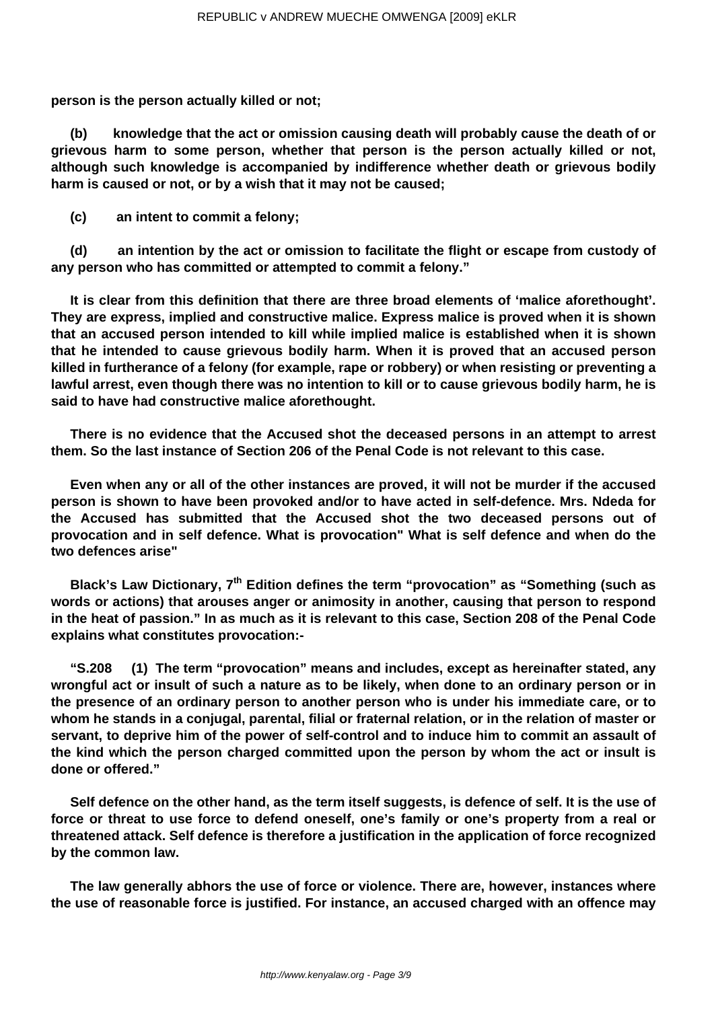**person is the person actually killed or not;**

**(b) knowledge that the act or omission causing death will probably cause the death of or grievous harm to some person, whether that person is the person actually killed or not, although such knowledge is accompanied by indifference whether death or grievous bodily harm is caused or not, or by a wish that it may not be caused;**

**(c) an intent to commit a felony;**

**(d) an intention by the act or omission to facilitate the flight or escape from custody of any person who has committed or attempted to commit a felony."**

**It is clear from this definition that there are three broad elements of 'malice aforethought'. They are express, implied and constructive malice. Express malice is proved when it is shown that an accused person intended to kill while implied malice is established when it is shown that he intended to cause grievous bodily harm. When it is proved that an accused person killed in furtherance of a felony (for example, rape or robbery) or when resisting or preventing a lawful arrest, even though there was no intention to kill or to cause grievous bodily harm, he is said to have had constructive malice aforethought.**

**There is no evidence that the Accused shot the deceased persons in an attempt to arrest them. So the last instance of Section 206 of the Penal Code is not relevant to this case.**

**Even when any or all of the other instances are proved, it will not be murder if the accused person is shown to have been provoked and/or to have acted in self-defence. Mrs. Ndeda for the Accused has submitted that the Accused shot the two deceased persons out of provocation and in self defence. What is provocation" What is self defence and when do the two defences arise"**

**Black's Law Dictionary, 7th Edition defines the term "provocation" as "Something (such as words or actions) that arouses anger or animosity in another, causing that person to respond in the heat of passion." In as much as it is relevant to this case, Section 208 of the Penal Code explains what constitutes provocation:-**

**"S.208 (1) The term "provocation" means and includes, except as hereinafter stated, any wrongful act or insult of such a nature as to be likely, when done to an ordinary person or in the presence of an ordinary person to another person who is under his immediate care, or to whom he stands in a conjugal, parental, filial or fraternal relation, or in the relation of master or servant, to deprive him of the power of self-control and to induce him to commit an assault of the kind which the person charged committed upon the person by whom the act or insult is done or offered."**

**Self defence on the other hand, as the term itself suggests, is defence of self. It is the use of force or threat to use force to defend oneself, one's family or one's property from a real or threatened attack. Self defence is therefore a justification in the application of force recognized by the common law.**

**The law generally abhors the use of force or violence. There are, however, instances where the use of reasonable force is justified. For instance, an accused charged with an offence may**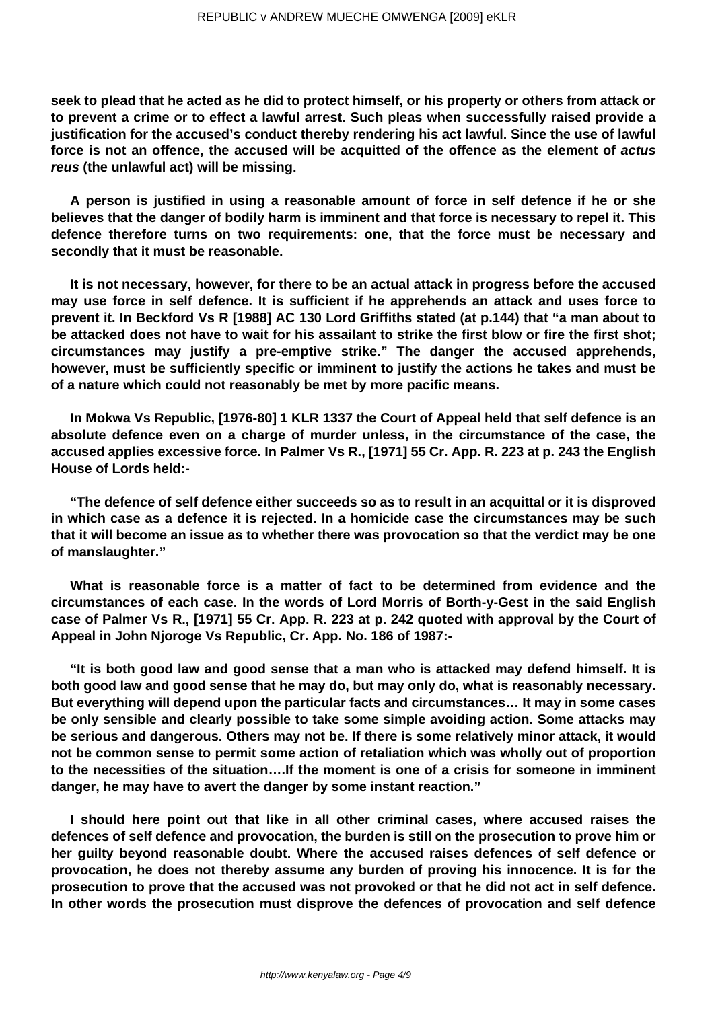**seek to plead that he acted as he did to protect himself, or his property or others from attack or to prevent a crime or to effect a lawful arrest. Such pleas when successfully raised provide a justification for the accused's conduct thereby rendering his act lawful. Since the use of lawful force is not an offence, the accused will be acquitted of the offence as the element of actus reus (the unlawful act) will be missing.**

**A person is justified in using a reasonable amount of force in self defence if he or she believes that the danger of bodily harm is imminent and that force is necessary to repel it. This defence therefore turns on two requirements: one, that the force must be necessary and secondly that it must be reasonable.**

**It is not necessary, however, for there to be an actual attack in progress before the accused may use force in self defence. It is sufficient if he apprehends an attack and uses force to prevent it. In Beckford Vs R [1988] AC 130 Lord Griffiths stated (at p.144) that "a man about to be attacked does not have to wait for his assailant to strike the first blow or fire the first shot; circumstances may justify a pre-emptive strike." The danger the accused apprehends, however, must be sufficiently specific or imminent to justify the actions he takes and must be of a nature which could not reasonably be met by more pacific means.**

**In Mokwa Vs Republic, [1976-80] 1 KLR 1337 the Court of Appeal held that self defence is an absolute defence even on a charge of murder unless, in the circumstance of the case, the accused applies excessive force. In Palmer Vs R., [1971] 55 Cr. App. R. 223 at p. 243 the English House of Lords held:-**

**"The defence of self defence either succeeds so as to result in an acquittal or it is disproved in which case as a defence it is rejected. In a homicide case the circumstances may be such that it will become an issue as to whether there was provocation so that the verdict may be one of manslaughter."**

**What is reasonable force is a matter of fact to be determined from evidence and the circumstances of each case. In the words of Lord Morris of Borth-y-Gest in the said English case of Palmer Vs R., [1971] 55 Cr. App. R. 223 at p. 242 quoted with approval by the Court of Appeal in John Njoroge Vs Republic, Cr. App. No. 186 of 1987:-**

**"It is both good law and good sense that a man who is attacked may defend himself. It is both good law and good sense that he may do, but may only do, what is reasonably necessary. But everything will depend upon the particular facts and circumstances… It may in some cases be only sensible and clearly possible to take some simple avoiding action. Some attacks may be serious and dangerous. Others may not be. If there is some relatively minor attack, it would not be common sense to permit some action of retaliation which was wholly out of proportion to the necessities of the situation….If the moment is one of a crisis for someone in imminent danger, he may have to avert the danger by some instant reaction."**

**I should here point out that like in all other criminal cases, where accused raises the defences of self defence and provocation, the burden is still on the prosecution to prove him or her guilty beyond reasonable doubt. Where the accused raises defences of self defence or provocation, he does not thereby assume any burden of proving his innocence. It is for the prosecution to prove that the accused was not provoked or that he did not act in self defence. In other words the prosecution must disprove the defences of provocation and self defence**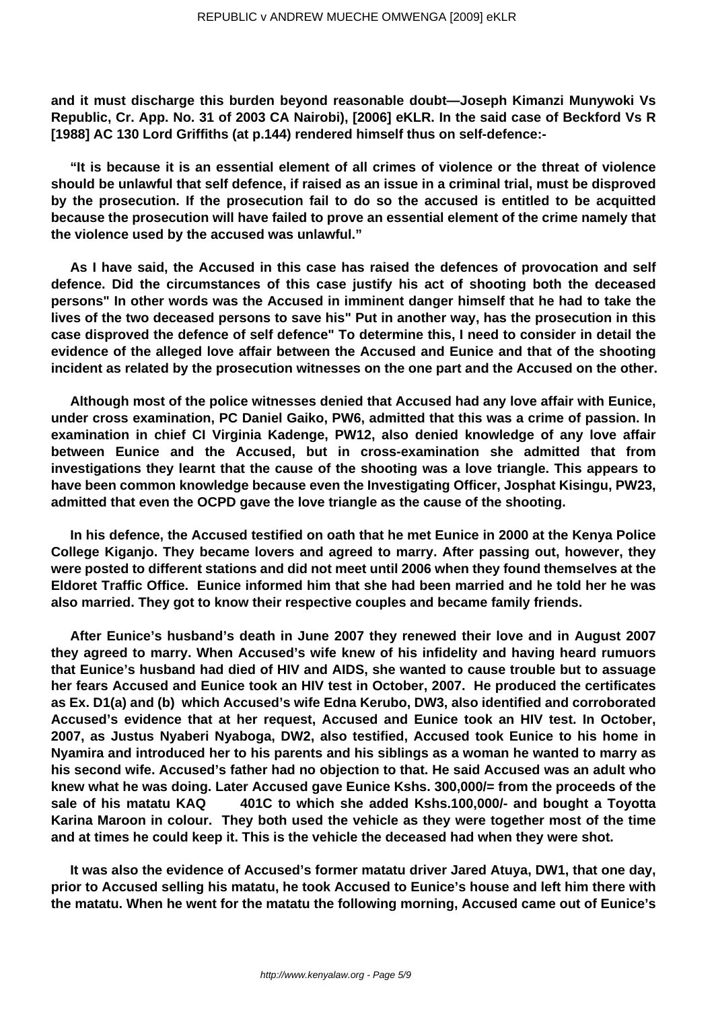**and it must discharge this burden beyond reasonable doubt—Joseph Kimanzi Munywoki Vs Republic, Cr. App. No. 31 of 2003 CA Nairobi), [2006] eKLR. In the said case of Beckford Vs R [1988] AC 130 Lord Griffiths (at p.144) rendered himself thus on self-defence:-**

**"It is because it is an essential element of all crimes of violence or the threat of violence should be unlawful that self defence, if raised as an issue in a criminal trial, must be disproved by the prosecution. If the prosecution fail to do so the accused is entitled to be acquitted because the prosecution will have failed to prove an essential element of the crime namely that the violence used by the accused was unlawful."** 

**As I have said, the Accused in this case has raised the defences of provocation and self defence. Did the circumstances of this case justify his act of shooting both the deceased persons" In other words was the Accused in imminent danger himself that he had to take the lives of the two deceased persons to save his" Put in another way, has the prosecution in this case disproved the defence of self defence" To determine this, I need to consider in detail the evidence of the alleged love affair between the Accused and Eunice and that of the shooting incident as related by the prosecution witnesses on the one part and the Accused on the other.**

**Although most of the police witnesses denied that Accused had any love affair with Eunice, under cross examination, PC Daniel Gaiko, PW6, admitted that this was a crime of passion. In examination in chief CI Virginia Kadenge, PW12, also denied knowledge of any love affair between Eunice and the Accused, but in cross-examination she admitted that from investigations they learnt that the cause of the shooting was a love triangle. This appears to have been common knowledge because even the Investigating Officer, Josphat Kisingu, PW23, admitted that even the OCPD gave the love triangle as the cause of the shooting.**

**In his defence, the Accused testified on oath that he met Eunice in 2000 at the Kenya Police College Kiganjo. They became lovers and agreed to marry. After passing out, however, they were posted to different stations and did not meet until 2006 when they found themselves at the Eldoret Traffic Office. Eunice informed him that she had been married and he told her he was also married. They got to know their respective couples and became family friends.**

**After Eunice's husband's death in June 2007 they renewed their love and in August 2007 they agreed to marry. When Accused's wife knew of his infidelity and having heard rumuors that Eunice's husband had died of HIV and AIDS, she wanted to cause trouble but to assuage her fears Accused and Eunice took an HIV test in October, 2007. He produced the certificates as Ex. D1(a) and (b) which Accused's wife Edna Kerubo, DW3, also identified and corroborated Accused's evidence that at her request, Accused and Eunice took an HIV test. In October, 2007, as Justus Nyaberi Nyaboga, DW2, also testified, Accused took Eunice to his home in Nyamira and introduced her to his parents and his siblings as a woman he wanted to marry as his second wife. Accused's father had no objection to that. He said Accused was an adult who knew what he was doing. Later Accused gave Eunice Kshs. 300,000/= from the proceeds of the sale of his matatu KAQ 401C to which she added Kshs.100,000/- and bought a Toyotta Karina Maroon in colour. They both used the vehicle as they were together most of the time and at times he could keep it. This is the vehicle the deceased had when they were shot.**

**It was also the evidence of Accused's former matatu driver Jared Atuya, DW1, that one day, prior to Accused selling his matatu, he took Accused to Eunice's house and left him there with the matatu. When he went for the matatu the following morning, Accused came out of Eunice's**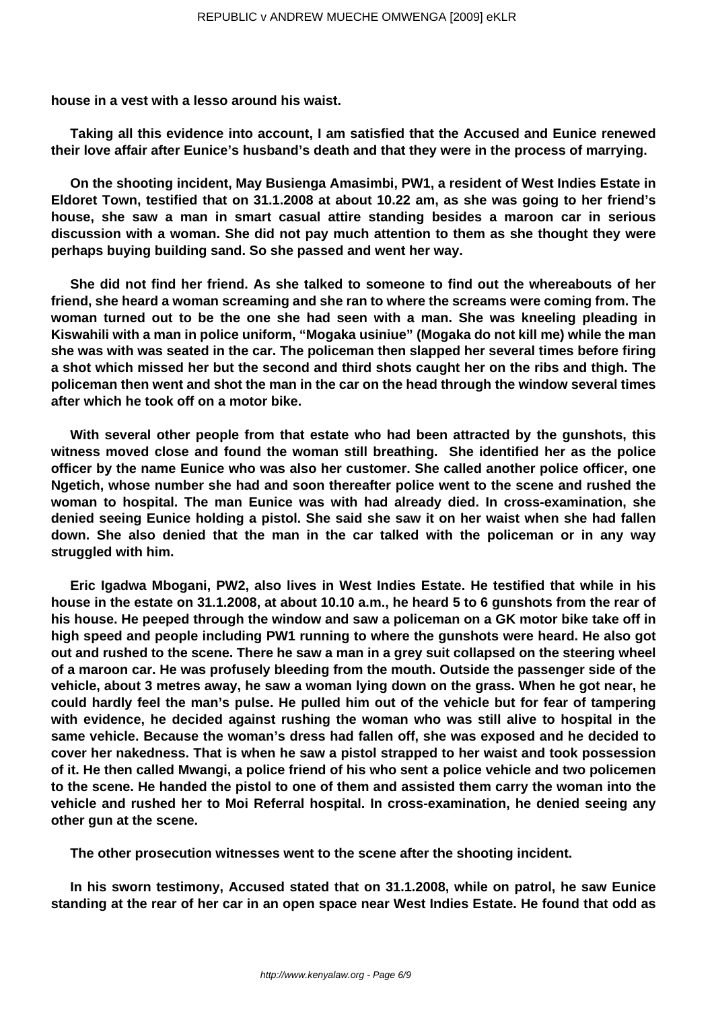**house in a vest with a lesso around his waist.**

**Taking all this evidence into account, I am satisfied that the Accused and Eunice renewed their love affair after Eunice's husband's death and that they were in the process of marrying.**

**On the shooting incident, May Busienga Amasimbi, PW1, a resident of West Indies Estate in Eldoret Town, testified that on 31.1.2008 at about 10.22 am, as she was going to her friend's house, she saw a man in smart casual attire standing besides a maroon car in serious discussion with a woman. She did not pay much attention to them as she thought they were perhaps buying building sand. So she passed and went her way.**

**She did not find her friend. As she talked to someone to find out the whereabouts of her friend, she heard a woman screaming and she ran to where the screams were coming from. The woman turned out to be the one she had seen with a man. She was kneeling pleading in Kiswahili with a man in police uniform, "Mogaka usiniue" (Mogaka do not kill me) while the man she was with was seated in the car. The policeman then slapped her several times before firing a shot which missed her but the second and third shots caught her on the ribs and thigh. The policeman then went and shot the man in the car on the head through the window several times after which he took off on a motor bike.**

**With several other people from that estate who had been attracted by the gunshots, this witness moved close and found the woman still breathing. She identified her as the police officer by the name Eunice who was also her customer. She called another police officer, one Ngetich, whose number she had and soon thereafter police went to the scene and rushed the woman to hospital. The man Eunice was with had already died. In cross-examination, she denied seeing Eunice holding a pistol. She said she saw it on her waist when she had fallen down. She also denied that the man in the car talked with the policeman or in any way struggled with him.**

**Eric Igadwa Mbogani, PW2, also lives in West Indies Estate. He testified that while in his house in the estate on 31.1.2008, at about 10.10 a.m., he heard 5 to 6 gunshots from the rear of his house. He peeped through the window and saw a policeman on a GK motor bike take off in high speed and people including PW1 running to where the gunshots were heard. He also got out and rushed to the scene. There he saw a man in a grey suit collapsed on the steering wheel of a maroon car. He was profusely bleeding from the mouth. Outside the passenger side of the vehicle, about 3 metres away, he saw a woman lying down on the grass. When he got near, he could hardly feel the man's pulse. He pulled him out of the vehicle but for fear of tampering with evidence, he decided against rushing the woman who was still alive to hospital in the same vehicle. Because the woman's dress had fallen off, she was exposed and he decided to cover her nakedness. That is when he saw a pistol strapped to her waist and took possession of it. He then called Mwangi, a police friend of his who sent a police vehicle and two policemen to the scene. He handed the pistol to one of them and assisted them carry the woman into the vehicle and rushed her to Moi Referral hospital. In cross-examination, he denied seeing any other gun at the scene.**

**The other prosecution witnesses went to the scene after the shooting incident.**

**In his sworn testimony, Accused stated that on 31.1.2008, while on patrol, he saw Eunice standing at the rear of her car in an open space near West Indies Estate. He found that odd as**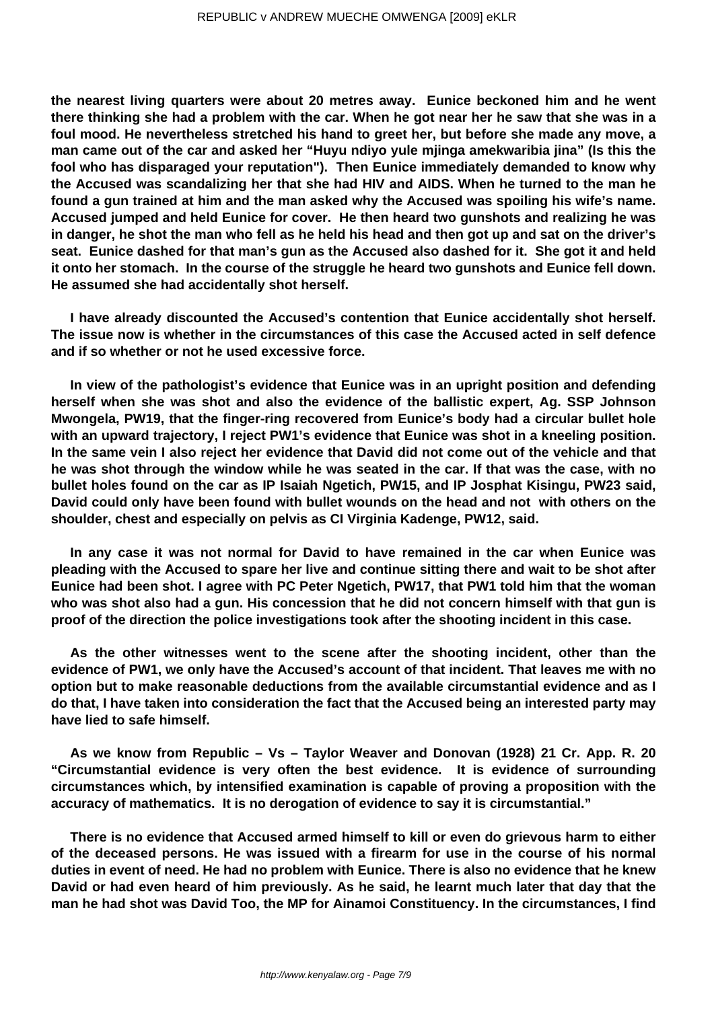**the nearest living quarters were about 20 metres away. Eunice beckoned him and he went there thinking she had a problem with the car. When he got near her he saw that she was in a foul mood. He nevertheless stretched his hand to greet her, but before she made any move, a man came out of the car and asked her "Huyu ndiyo yule mjinga amekwaribia jina" (Is this the fool who has disparaged your reputation"). Then Eunice immediately demanded to know why the Accused was scandalizing her that she had HIV and AIDS. When he turned to the man he found a gun trained at him and the man asked why the Accused was spoiling his wife's name. Accused jumped and held Eunice for cover. He then heard two gunshots and realizing he was in danger, he shot the man who fell as he held his head and then got up and sat on the driver's seat. Eunice dashed for that man's gun as the Accused also dashed for it. She got it and held it onto her stomach. In the course of the struggle he heard two gunshots and Eunice fell down. He assumed she had accidentally shot herself.**

**I have already discounted the Accused's contention that Eunice accidentally shot herself. The issue now is whether in the circumstances of this case the Accused acted in self defence and if so whether or not he used excessive force.**

**In view of the pathologist's evidence that Eunice was in an upright position and defending herself when she was shot and also the evidence of the ballistic expert, Ag. SSP Johnson Mwongela, PW19, that the finger-ring recovered from Eunice's body had a circular bullet hole with an upward trajectory, I reject PW1's evidence that Eunice was shot in a kneeling position. In the same vein I also reject her evidence that David did not come out of the vehicle and that he was shot through the window while he was seated in the car. If that was the case, with no bullet holes found on the car as IP Isaiah Ngetich, PW15, and IP Josphat Kisingu, PW23 said, David could only have been found with bullet wounds on the head and not with others on the shoulder, chest and especially on pelvis as CI Virginia Kadenge, PW12, said.**

**In any case it was not normal for David to have remained in the car when Eunice was pleading with the Accused to spare her live and continue sitting there and wait to be shot after Eunice had been shot. I agree with PC Peter Ngetich, PW17, that PW1 told him that the woman who was shot also had a gun. His concession that he did not concern himself with that gun is proof of the direction the police investigations took after the shooting incident in this case.**

**As the other witnesses went to the scene after the shooting incident, other than the evidence of PW1, we only have the Accused's account of that incident. That leaves me with no option but to make reasonable deductions from the available circumstantial evidence and as I do that, I have taken into consideration the fact that the Accused being an interested party may have lied to safe himself.**

**As we know from Republic – Vs – Taylor Weaver and Donovan (1928) 21 Cr. App. R. 20 "Circumstantial evidence is very often the best evidence. It is evidence of surrounding circumstances which, by intensified examination is capable of proving a proposition with the accuracy of mathematics. It is no derogation of evidence to say it is circumstantial."**

**There is no evidence that Accused armed himself to kill or even do grievous harm to either of the deceased persons. He was issued with a firearm for use in the course of his normal duties in event of need. He had no problem with Eunice. There is also no evidence that he knew David or had even heard of him previously. As he said, he learnt much later that day that the man he had shot was David Too, the MP for Ainamoi Constituency. In the circumstances, I find**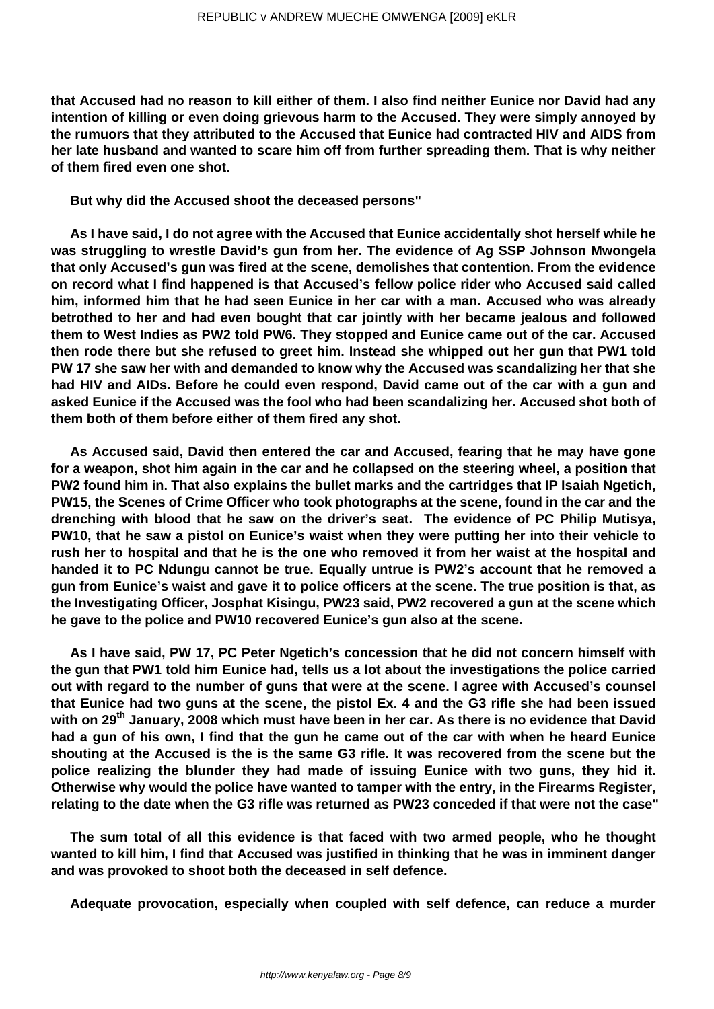**that Accused had no reason to kill either of them. I also find neither Eunice nor David had any intention of killing or even doing grievous harm to the Accused. They were simply annoyed by the rumuors that they attributed to the Accused that Eunice had contracted HIV and AIDS from her late husband and wanted to scare him off from further spreading them. That is why neither of them fired even one shot.**

**But why did the Accused shoot the deceased persons"**

**As I have said, I do not agree with the Accused that Eunice accidentally shot herself while he was struggling to wrestle David's gun from her. The evidence of Ag SSP Johnson Mwongela that only Accused's gun was fired at the scene, demolishes that contention. From the evidence on record what I find happened is that Accused's fellow police rider who Accused said called him, informed him that he had seen Eunice in her car with a man. Accused who was already betrothed to her and had even bought that car jointly with her became jealous and followed them to West Indies as PW2 told PW6. They stopped and Eunice came out of the car. Accused then rode there but she refused to greet him. Instead she whipped out her gun that PW1 told PW 17 she saw her with and demanded to know why the Accused was scandalizing her that she had HIV and AIDs. Before he could even respond, David came out of the car with a gun and asked Eunice if the Accused was the fool who had been scandalizing her. Accused shot both of them both of them before either of them fired any shot.**

**As Accused said, David then entered the car and Accused, fearing that he may have gone for a weapon, shot him again in the car and he collapsed on the steering wheel, a position that PW2 found him in. That also explains the bullet marks and the cartridges that IP Isaiah Ngetich, PW15, the Scenes of Crime Officer who took photographs at the scene, found in the car and the drenching with blood that he saw on the driver's seat. The evidence of PC Philip Mutisya, PW10, that he saw a pistol on Eunice's waist when they were putting her into their vehicle to rush her to hospital and that he is the one who removed it from her waist at the hospital and handed it to PC Ndungu cannot be true. Equally untrue is PW2's account that he removed a gun from Eunice's waist and gave it to police officers at the scene. The true position is that, as the Investigating Officer, Josphat Kisingu, PW23 said, PW2 recovered a gun at the scene which he gave to the police and PW10 recovered Eunice's gun also at the scene.**

**As I have said, PW 17, PC Peter Ngetich's concession that he did not concern himself with the gun that PW1 told him Eunice had, tells us a lot about the investigations the police carried out with regard to the number of guns that were at the scene. I agree with Accused's counsel that Eunice had two guns at the scene, the pistol Ex. 4 and the G3 rifle she had been issued with on 29th January, 2008 which must have been in her car. As there is no evidence that David had a gun of his own, I find that the gun he came out of the car with when he heard Eunice shouting at the Accused is the is the same G3 rifle. It was recovered from the scene but the police realizing the blunder they had made of issuing Eunice with two guns, they hid it. Otherwise why would the police have wanted to tamper with the entry, in the Firearms Register, relating to the date when the G3 rifle was returned as PW23 conceded if that were not the case"**

**The sum total of all this evidence is that faced with two armed people, who he thought wanted to kill him, I find that Accused was justified in thinking that he was in imminent danger and was provoked to shoot both the deceased in self defence.**

**Adequate provocation, especially when coupled with self defence, can reduce a murder**